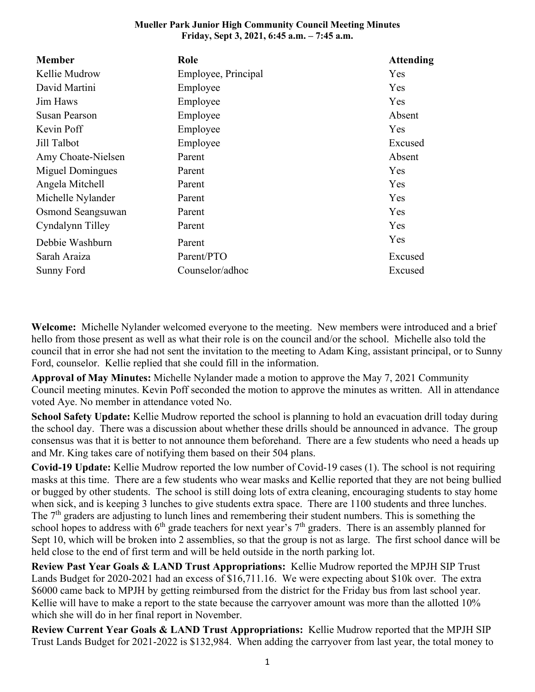## **Mueller Park Junior High Community Council Meeting Minutes Friday, Sept 3, 2021, 6:45 a.m. – 7:45 a.m.**

| <b>Member</b>        | Role                | <b>Attending</b> |
|----------------------|---------------------|------------------|
| Kellie Mudrow        | Employee, Principal | Yes              |
| David Martini        | Employee            | Yes              |
| Jim Haws             | Employee            | Yes              |
| <b>Susan Pearson</b> | Employee            | Absent           |
| Kevin Poff           | Employee            | Yes              |
| Jill Talbot          | Employee            | Excused          |
| Amy Choate-Nielsen   | Parent              | Absent           |
| Miguel Domingues     | Parent              | <b>Yes</b>       |
| Angela Mitchell      | Parent              | Yes              |
| Michelle Nylander    | Parent              | Yes              |
| Osmond Seangsuwan    | Parent              | Yes              |
| Cyndalynn Tilley     | Parent              | Yes              |
| Debbie Washburn      | Parent              | Yes              |
| Sarah Araiza         | Parent/PTO          | Excused          |
| Sunny Ford           | Counselor/adhoc     | Excused          |

**Welcome:** Michelle Nylander welcomed everyone to the meeting. New members were introduced and a brief hello from those present as well as what their role is on the council and/or the school. Michelle also told the council that in error she had not sent the invitation to the meeting to Adam King, assistant principal, or to Sunny Ford, counselor. Kellie replied that she could fill in the information.

**Approval of May Minutes:** Michelle Nylander made a motion to approve the May 7, 2021 Community Council meeting minutes. Kevin Poff seconded the motion to approve the minutes as written. All in attendance voted Aye. No member in attendance voted No.

**School Safety Update:** Kellie Mudrow reported the school is planning to hold an evacuation drill today during the school day. There was a discussion about whether these drills should be announced in advance. The group consensus was that it is better to not announce them beforehand. There are a few students who need a heads up and Mr. King takes care of notifying them based on their 504 plans.

**Covid-19 Update:** Kellie Mudrow reported the low number of Covid-19 cases (1). The school is not requiring masks at this time. There are a few students who wear masks and Kellie reported that they are not being bullied or bugged by other students. The school is still doing lots of extra cleaning, encouraging students to stay home when sick, and is keeping 3 lunches to give students extra space. There are 1100 students and three lunches. The  $7<sup>th</sup>$  graders are adjusting to lunch lines and remembering their student numbers. This is something the school hopes to address with 6<sup>th</sup> grade teachers for next year's 7<sup>th</sup> graders. There is an assembly planned for Sept 10, which will be broken into 2 assemblies, so that the group is not as large. The first school dance will be held close to the end of first term and will be held outside in the north parking lot.

**Review Past Year Goals & LAND Trust Appropriations:** Kellie Mudrow reported the MPJH SIP Trust Lands Budget for 2020-2021 had an excess of \$16,711.16. We were expecting about \$10k over. The extra \$6000 came back to MPJH by getting reimbursed from the district for the Friday bus from last school year. Kellie will have to make a report to the state because the carryover amount was more than the allotted 10% which she will do in her final report in November.

**Review Current Year Goals & LAND Trust Appropriations:** Kellie Mudrow reported that the MPJH SIP Trust Lands Budget for 2021-2022 is \$132,984. When adding the carryover from last year, the total money to